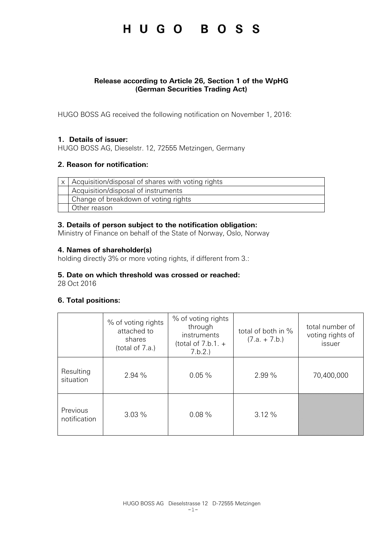## HUGO BOSS

### **Release according to Article 26, Section 1 of the WpHG (German Securities Trading Act)**

HUGO BOSS AG received the following notification on November 1, 2016:

### **1. Details of issuer:**

HUGO BOSS AG, Dieselstr. 12, 72555 Metzingen, Germany

### **2. Reason for notification:**

| x   Acquisition/disposal of shares with voting rights |  |  |
|-------------------------------------------------------|--|--|
| Acquisition/disposal of instruments                   |  |  |
| Change of breakdown of voting rights                  |  |  |
| Other reason                                          |  |  |

### **3. Details of person subject to the notification obligation:**

Ministry of Finance on behalf of the State of Norway, Oslo, Norway

### **4. Names of shareholder(s)**

holding directly 3% or more voting rights, if different from 3.:

### **5. Date on which threshold was crossed or reached:**

28 Oct 2016

### **6. Total positions:**

|                          | % of voting rights<br>attached to<br>shares<br>(total of 7.a.) | % of voting rights<br>through<br>instruments<br>(total of $7.b.1. +$<br>7.b.2. | total of both in %<br>$(7.a. + 7.b.)$ | total number of<br>voting rights of<br>issuer |
|--------------------------|----------------------------------------------------------------|--------------------------------------------------------------------------------|---------------------------------------|-----------------------------------------------|
| Resulting<br>situation   | 2.94%                                                          | 0.05%                                                                          | 2.99 %                                | 70,400,000                                    |
| Previous<br>notification | 3.03%                                                          | 0.08%                                                                          | 3.12%                                 |                                               |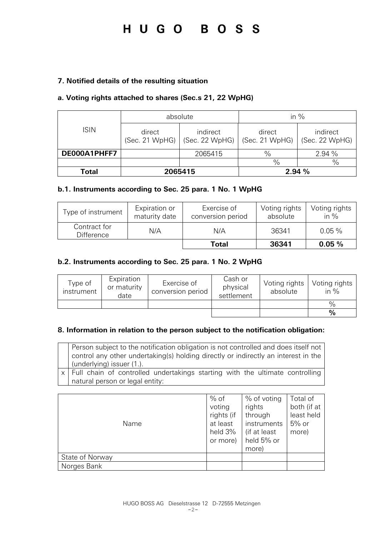### HUGO BOSS

### **7. Notified details of the resulting situation**

### **a. Voting rights attached to shares (Sec.s 21, 22 WpHG)**

|              | absolute                 |                            | in $%$                   |                            |
|--------------|--------------------------|----------------------------|--------------------------|----------------------------|
| <b>ISIN</b>  | direct<br>(Sec. 21 WpHG) | indirect<br>(Sec. 22 WpHG) | direct<br>(Sec. 21 WpHG) | indirect<br>(Sec. 22 WpHG) |
| DE000A1PHFF7 |                          | 2065415                    | $\%$                     | 2.94 %                     |
|              |                          |                            | $\%$                     | $\frac{0}{0}$              |
| Total        | 2065415                  |                            |                          | 2.94 %                     |

### **b.1. Instruments according to Sec. 25 para. 1 No. 1 WpHG**

| Type of instrument                | Expiration or<br>maturity date | Exercise of<br>conversion period | Voting rights<br>absolute | Voting rights<br>in $%$ |
|-----------------------------------|--------------------------------|----------------------------------|---------------------------|-------------------------|
| Contract for<br><b>Difference</b> | N/A                            | N/A                              | 36341                     | $0.05\%$                |
|                                   |                                | Total                            | 36341                     | 0.05%                   |

### **b.2. Instruments according to Sec. 25 para. 1 No. 2 WpHG**

| Type of<br>instrument | Expiration<br>or maturity<br>date | Exercise of<br>conversion period | Cash or<br>physical<br>settlement | Voting rights<br>absolute | Voting rights<br>in $\%$ |
|-----------------------|-----------------------------------|----------------------------------|-----------------------------------|---------------------------|--------------------------|
|                       |                                   |                                  |                                   |                           | $\frac{0}{0}$            |
|                       |                                   |                                  |                                   |                           | $\frac{9}{6}$            |

### **8. Information in relation to the person subject to the notification obligation:**

Person subject to the notification obligation is not controlled and does itself not control any other undertaking(s) holding directly or indirectly an interest in the (underlying) issuer (1.).

 $x$  Full chain of controlled undertakings starting with the ultimate controlling natural person or legal entity:

| Name            | $%$ of<br>voting<br>rights (if<br>at least<br>held 3%<br>or more) | % of voting<br>rights<br>through<br>instruments<br>(if at least<br>held 5% or<br>more) | Total of<br>both (if at<br>least held<br>$5%$ or<br>more) |
|-----------------|-------------------------------------------------------------------|----------------------------------------------------------------------------------------|-----------------------------------------------------------|
| State of Norway |                                                                   |                                                                                        |                                                           |
| Norges Bank     |                                                                   |                                                                                        |                                                           |